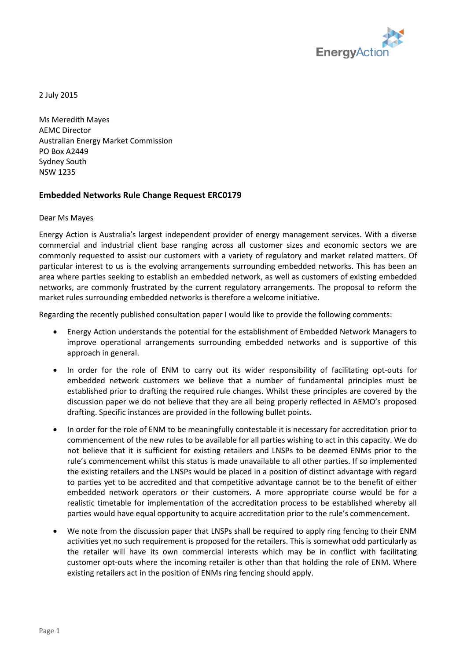

2 July 2015

Ms Meredith Mayes AEMC Director Australian Energy Market Commission PO Box A2449 Sydney South NSW 1235

## **Embedded Networks Rule Change Request ERC0179**

Dear Ms Mayes

Energy Action is Australia's largest independent provider of energy management services. With a diverse commercial and industrial client base ranging across all customer sizes and economic sectors we are commonly requested to assist our customers with a variety of regulatory and market related matters. Of particular interest to us is the evolving arrangements surrounding embedded networks. This has been an area where parties seeking to establish an embedded network, as well as customers of existing embedded networks, are commonly frustrated by the current regulatory arrangements. The proposal to reform the market rules surrounding embedded networks is therefore a welcome initiative.

Regarding the recently published consultation paper I would like to provide the following comments:

- Energy Action understands the potential for the establishment of Embedded Network Managers to improve operational arrangements surrounding embedded networks and is supportive of this approach in general.
- In order for the role of ENM to carry out its wider responsibility of facilitating opt-outs for embedded network customers we believe that a number of fundamental principles must be established prior to drafting the required rule changes. Whilst these principles are covered by the discussion paper we do not believe that they are all being properly reflected in AEMO's proposed drafting. Specific instances are provided in the following bullet points.
- In order for the role of ENM to be meaningfully contestable it is necessary for accreditation prior to commencement of the new rules to be available for all parties wishing to act in this capacity. We do not believe that it is sufficient for existing retailers and LNSPs to be deemed ENMs prior to the rule's commencement whilst this status is made unavailable to all other parties. If so implemented the existing retailers and the LNSPs would be placed in a position of distinct advantage with regard to parties yet to be accredited and that competitive advantage cannot be to the benefit of either embedded network operators or their customers. A more appropriate course would be for a realistic timetable for implementation of the accreditation process to be established whereby all parties would have equal opportunity to acquire accreditation prior to the rule's commencement.
- We note from the discussion paper that LNSPs shall be required to apply ring fencing to their ENM activities yet no such requirement is proposed for the retailers. This is somewhat odd particularly as the retailer will have its own commercial interests which may be in conflict with facilitating customer opt-outs where the incoming retailer is other than that holding the role of ENM. Where existing retailers act in the position of ENMs ring fencing should apply.